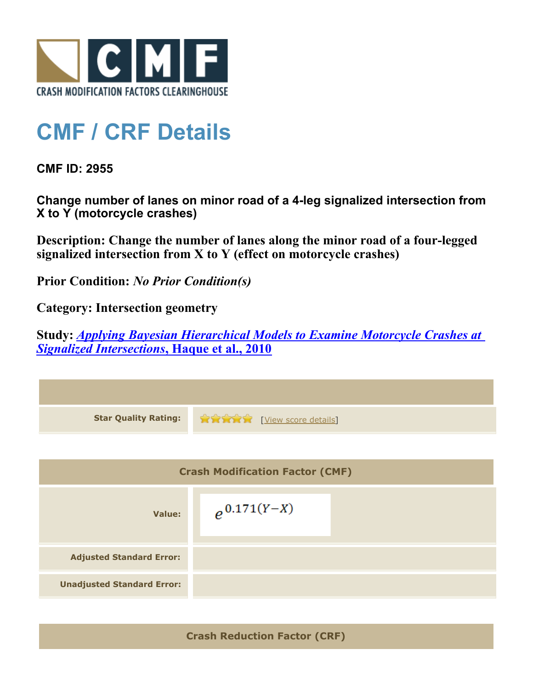

## **CMF / CRF Details**

**CMF ID: 2955**

**Change number of lanes on minor road of a 4-leg signalized intersection from X to Y (motorcycle crashes)**

**Description: Change the number of lanes along the minor road of a four-legged signalized intersection from X to Y (effect on motorcycle crashes)**

**Prior Condition:** *No Prior Condition(s)*

**Category: Intersection geometry**

**Study:** *[Applying Bayesian Hierarchical Models to Examine Motorcycle Crashes at](http://www.cmfclearinghouse.org/study_detail.cfm?stid=201) [Signalized Intersections](http://www.cmfclearinghouse.org/study_detail.cfm?stid=201)***[, Haque et al., 2010](http://www.cmfclearinghouse.org/study_detail.cfm?stid=201)**



**Crash Reduction Factor (CRF)**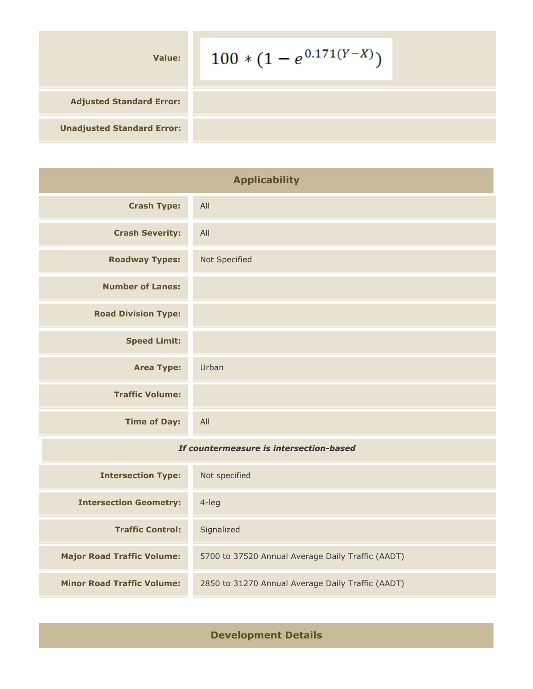| Value:                            | $100 * (1 - e^{0.171(Y-X)})$ |
|-----------------------------------|------------------------------|
| <b>Adjusted Standard Error:</b>   |                              |
| <b>Unadjusted Standard Error:</b> |                              |

| <b>Applicability</b>       |               |
|----------------------------|---------------|
| <b>Crash Type:</b>         | All           |
| <b>Crash Severity:</b>     | All           |
| <b>Roadway Types:</b>      | Not Specified |
| <b>Number of Lanes:</b>    |               |
| <b>Road Division Type:</b> |               |
| <b>Speed Limit:</b>        |               |
| <b>Area Type:</b>          | Urban         |
| <b>Traffic Volume:</b>     |               |
| <b>Time of Day:</b>        | All           |

## *If countermeasure is intersection-based*

| <b>Intersection Type:</b>         | Not specified                                     |
|-----------------------------------|---------------------------------------------------|
| <b>Intersection Geometry:</b>     | 4-leg                                             |
| <b>Traffic Control:</b>           | Signalized                                        |
| <b>Major Road Traffic Volume:</b> | 5700 to 37520 Annual Average Daily Traffic (AADT) |
| <b>Minor Road Traffic Volume:</b> | 2850 to 31270 Annual Average Daily Traffic (AADT) |

## **Development Details**